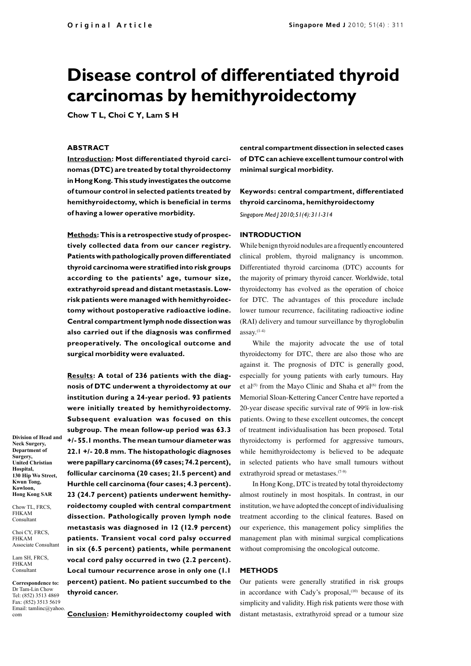# **Disease control of differentiated thyroid carcinomas by hemithyroidectomy**

**Chow T L, Choi C Y, Lam S H**

#### **ABSTRACT**

**Introduction: Most differentiated thyroid carcinomas (DTC) are treated by total thyroidectomy in Hong Kong. This study investigates the outcome of tumour control in selected patients treated by hemithyroidectomy, which is beneficial in terms of having a lower operative morbidity.**

**Methods: This is a retrospective study of prospectively collected data from our cancer registry. Patients with pathologically proven differentiated thyroid carcinoma were stratified into risk groups according to the patients' age, tumour size, extrathyroid spread and distant metastasis. Lowrisk patients were managed with hemithyroidectomy without postoperative radioactive iodine. Central compartment lymph node dissection was also carried out if the diagnosis was confirmed preoperatively. The oncological outcome and surgical morbidity were evaluated.**

**Results: A total of 236 patients with the diagnosis of DTC underwent a thyroidectomy at our institution during a 24-year period. 93 patients were initially treated by hemithyroidectomy. Subsequent evaluation was focused on this subgroup. The mean follow-up period was 63.3 +/- 55.1 months. The mean tumour diameter was 22.1 +/- 20.8 mm. The histopathologic diagnoses were papillary carcinoma (69 cases; 74.2 percent), follicular carcinoma (20 cases; 21.5 percent) and Hurthle cell carcinoma (four cases; 4.3 percent). 23 (24.7 percent) patients underwent hemithyroidectomy coupled with central compartment dissection. Pathologically proven lymph node metastasis was diagnosed in 12 (12.9 percent) patients. Transient vocal cord palsy occurred in six (6.5 percent) patients, while permanent vocal cord palsy occurred in two (2.2 percent). Local tumour recurrence arose in only one (1.1 percent) patient. No patient succumbed to the thyroid cancer.**

**Department of Surgery, United Christian Hospital, 130 Hip Wo Street, Kwun Tong, Kowloon, Hong Kong SAR**

**Division of Head and Neck Surgery,**

Chow TL, FRCS. FHKAM Consultant

Choi CY, FRCS, FHKAM Associate Consultant

Lam SH, FRCS, FHKAM **Consultant** 

**Correspondence to:**  Dr Tam-Lin Chow Tel: (852) 3513 4869 Fax: (852) 3513 5619 Email: tamlinc@yahoo. com

**Conclusion: Hemithyroidectomy coupled with** 

**central compartment dissection in selected cases of DTC can achieve excellent tumour control with minimal surgical morbidity.** 

**Keywords: central compartment, differentiated thyroid carcinoma, hemithyroidectomy** 

*Singapore Med J 2010; 51(4): 311-314*

#### **INTRODUCTION**

While benign thyroid nodules are a frequently encountered clinical problem, thyroid malignancy is uncommon. Differentiated thyroid carcinoma (DTC) accounts for the majority of primary thyroid cancer. Worldwide, total thyroidectomy has evolved as the operation of choice for DTC. The advantages of this procedure include lower tumour recurrence, facilitating radioactive iodine (RAI) delivery and tumour surveillance by thyroglobulin  $assay.<sup>(1-4)</sup>$ 

While the majority advocate the use of total thyroidectomy for DTC, there are also those who are against it. The prognosis of DTC is generally good, especially for young patients with early tumours. Hay et al<sup>(5)</sup> from the Mayo Clinic and Shaha et al<sup>(6)</sup> from the Memorial Sloan-Kettering Cancer Centre have reported a 20-year disease specific survival rate of 99% in low-risk patients. Owing to these excellent outcomes, the concept of treatment individualisation has been proposed. Total thyroidectomy is performed for aggressive tumours, while hemithyroidectomy is believed to be adequate in selected patients who have small tumours without extrathyroid spread or metastases.<sup>(7-9)</sup>

In Hong Kong, DTC is treated by total thyroidectomy almost routinely in most hospitals. In contrast, in our institution, we have adopted the concept of individualising treatment according to the clinical features. Based on our experience, this management policy simplifies the management plan with minimal surgical complications without compromising the oncological outcome.

### **METHODS**

Our patients were generally stratified in risk groups in accordance with Cady's proposal, $(10)$  because of its simplicity and validity. High risk patients were those with distant metastasis, extrathyroid spread or a tumour size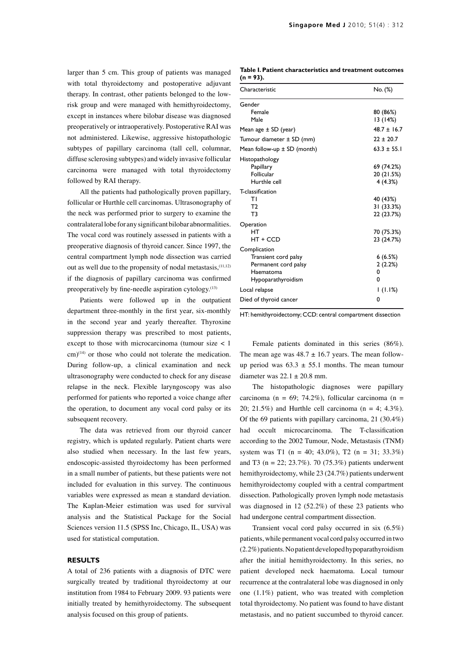larger than 5 cm. This group of patients was managed with total thyroidectomy and postoperative adjuvant therapy. In contrast, other patients belonged to the lowrisk group and were managed with hemithyroidectomy, except in instances where bilobar disease was diagnosed preoperatively or intraoperatively. Postoperative RAI was not administered. Likewise, aggressive histopathologic subtypes of papillary carcinoma (tall cell, columnar, diffuse sclerosing subtypes) and widely invasive follicular carcinoma were managed with total thyroidectomy followed by RAI therapy.

All the patients had pathologically proven papillary, follicular or Hurthle cell carcinomas. Ultrasonography of the neck was performed prior to surgery to examine the contralateral lobe for any significant bilobar abnormalities. The vocal cord was routinely assessed in patients with a preoperative diagnosis of thyroid cancer. Since 1997, the central compartment lymph node dissection was carried out as well due to the propensity of nodal metastasis,  $(11,12)$ if the diagnosis of papillary carcinoma was confirmed preoperatively by fine-needle aspiration cytology.<sup>(13)</sup>

Patients were followed up in the outpatient department three-monthly in the first year, six-monthly in the second year and yearly thereafter. Thyroxine suppression therapy was prescribed to most patients, except to those with microcarcinoma (tumour size < 1 cm)(14) or those who could not tolerate the medication. During follow-up, a clinical examination and neck ultrasonography were conducted to check for any disease relapse in the neck. Flexible laryngoscopy was also performed for patients who reported a voice change after the operation, to document any vocal cord palsy or its subsequent recovery.

The data was retrieved from our thyroid cancer registry, which is updated regularly. Patient charts were also studied when necessary. In the last few years, endoscopic-assisted thyroidectomy has been performed in a small number of patients, but these patients were not included for evaluation in this survey. The continuous variables were expressed as mean ± standard deviation. The Kaplan-Meier estimation was used for survival analysis and the Statistical Package for the Social Sciences version 11.5 (SPSS Inc, Chicago, IL, USA) was used for statistical computation.

# **RESULTS**

A total of 236 patients with a diagnosis of DTC were surgically treated by traditional thyroidectomy at our institution from 1984 to February 2009. 93 patients were initially treated by hemithyroidectomy. The subsequent analysis focused on this group of patients.

**Table I. Patient characteristics and treatment outcomes (n = 93).**

| Characteristic                                                                                  | No. (%)                              |
|-------------------------------------------------------------------------------------------------|--------------------------------------|
| Gender<br>Female<br>Male                                                                        | 80 (86%)<br>13(14%)                  |
| Mean age $\pm$ SD (year)                                                                        | $48.7 \pm 16.7$                      |
| Tumour diameter ± SD (mm)                                                                       | $22 \pm 20.7$                        |
| Mean follow-up $\pm$ SD (month)                                                                 | $63.3 \pm 55.1$                      |
| Histopathology<br>Papillary<br>Follicular<br>Hurthle cell                                       | 69 (74.2%)<br>20 (21.5%)<br>4(4.3%)  |
| <b>T-classification</b><br>т١<br>T <sub>2</sub><br>T <sub>3</sub>                               | 40 (43%)<br>31 (33.3%)<br>22 (23.7%) |
| Operation<br>HT<br>HT + CCD                                                                     | 70 (75.3%)<br>23 (24.7%)             |
| Complication<br>Transient cord palsy<br>Permanent cord palsy<br>Haematoma<br>Hypoparathyroidism | 6(6.5%)<br>2(2.2%)<br>0<br>0         |
| Local relapse                                                                                   | 1(1.1%)                              |
| Died of thyroid cancer                                                                          | 0                                    |

HT: hemithyroidectomy; CCD: central compartment dissection

Female patients dominated in this series (86%). The mean age was  $48.7 \pm 16.7$  years. The mean followup period was  $63.3 \pm 55.1$  months. The mean tumour diameter was  $22.1 \pm 20.8$  mm.

The histopathologic diagnoses were papillary carcinoma (n = 69; 74.2%), follicular carcinoma (n = 20; 21.5%) and Hurthle cell carcinoma ( $n = 4$ ; 4.3%). Of the 69 patients with papillary carcinoma, 21 (30.4%) had occult microcarcinoma. The T-classification according to the 2002 Tumour, Node, Metastasis (TNM) system was T1 (n = 40; 43.0%), T2 (n = 31; 33.3%) and T3 ( $n = 22$ ; 23.7%). 70 (75.3%) patients underwent hemithyroidectomy, while 23 (24.7%) patients underwent hemithyroidectomy coupled with a central compartment dissection. Pathologically proven lymph node metastasis was diagnosed in 12 (52.2%) of these 23 patients who had undergone central compartment dissection.

Transient vocal cord palsy occurred in six (6.5%) patients, while permanent vocal cord palsy occurred in two (2.2%) patients. No patient developed hypoparathyroidism after the initial hemithyroidectomy. In this series, no patient developed neck haematoma. Local tumour recurrence at the contralateral lobe was diagnosed in only one (1.1%) patient, who was treated with completion total thyroidectomy. No patient was found to have distant metastasis, and no patient succumbed to thyroid cancer.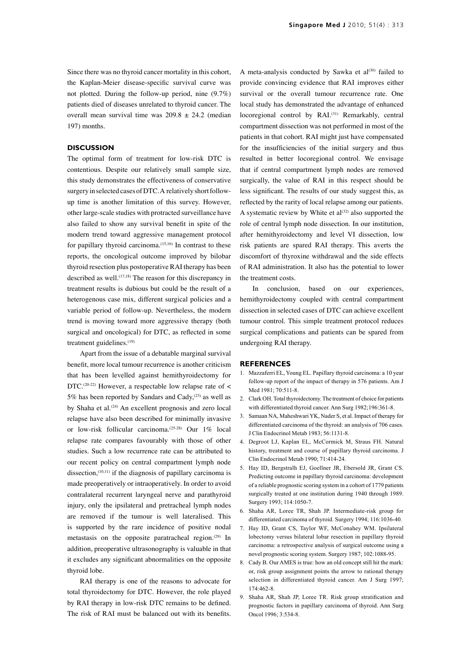Since there was no thyroid cancer mortality in this cohort, the Kaplan-Meier disease-specific survival curve was not plotted. During the follow-up period, nine (9.7%) patients died of diseases unrelated to thyroid cancer. The overall mean survival time was  $209.8 \pm 24.2$  (median 197) months.

## **DISCUSSION**

The optimal form of treatment for low-risk DTC is contentious. Despite our relatively small sample size, this study demonstrates the effectiveness of conservative surgery in selected cases of DTC. A relatively short followup time is another limitation of this survey. However, other large-scale studies with protracted surveillance have also failed to show any survival benefit in spite of the modern trend toward aggressive management protocol for papillary thyroid carcinoma.<sup>(15,16)</sup> In contrast to these reports, the oncological outcome improved by bilobar thyroid resection plus postoperative RAI therapy has been described as well.<sup>(17,18)</sup> The reason for this discrepancy in treatment results is dubious but could be the result of a heterogenous case mix, different surgical policies and a variable period of follow-up. Nevertheless, the modern trend is moving toward more aggressive therapy (both surgical and oncological) for DTC, as reflected in some treatment guidelines.<sup>(19)</sup>

Apart from the issue of a debatable marginal survival benefit, more local tumour recurrence is another criticism that has been levelled against hemithyroidectomy for DTC.<sup>(20-22)</sup> However, a respectable low relapse rate of  $\lt$ 5% has been reported by Sandars and Cady, $(23)$  as well as by Shaha et al.<sup>(24)</sup> An excellent prognosis and zero local relapse have also been described for minimally invasive or low-risk follicular carcinoma.(25-28) Our 1% local relapse rate compares favourably with those of other studies. Such a low recurrence rate can be attributed to our recent policy on central compartment lymph node dissection.<sup> $(10,11)$ </sup> if the diagnosis of papillary carcinoma is made preoperatively or intraoperatively. In order to avoid contralateral recurrent laryngeal nerve and parathyroid injury, only the ipsilateral and pretracheal lymph nodes are removed if the tumour is well lateralised. This is supported by the rare incidence of positive nodal metastasis on the opposite paratracheal region.<sup>(29)</sup> In addition, preoperative ultrasonography is valuable in that it excludes any significant abnormalities on the opposite thyroid lobe.

RAI therapy is one of the reasons to advocate for total thyroidectomy for DTC. However, the role played by RAI therapy in low-risk DTC remains to be defined. The risk of RAI must be balanced out with its benefits. A meta-analysis conducted by Sawka et al $(30)$  failed to provide convincing evidence that RAI improves either survival or the overall tumour recurrence rate. One local study has demonstrated the advantage of enhanced locoregional control by RAI.<sup>(31)</sup> Remarkably, central compartment dissection was not performed in most of the patients in that cohort. RAI might just have compensated for the insufficiencies of the initial surgery and thus resulted in better locoregional control. We envisage that if central compartment lymph nodes are removed surgically, the value of RAI in this respect should be less significant. The results of our study suggest this, as reflected by the rarity of local relapse among our patients. A systematic review by White et  $al^{(32)}$  also supported the role of central lymph node dissection. In our institution, after hemithyroidectomy and level VI dissection, low risk patients are spared RAI therapy. This averts the discomfort of thyroxine withdrawal and the side effects of RAI administration. It also has the potential to lower the treatment costs.

In conclusion, based on our experiences, hemithyroidectomy coupled with central compartment dissection in selected cases of DTC can achieve excellent tumour control. This simple treatment protocol reduces surgical complications and patients can be spared from undergoing RAI therapy.

#### **REFERENCES**

- 1. Mazzaferri EL, Young EL. Papillary thyroid carcinoma: a 10 year follow-up report of the impact of therapy in 576 patients. Am J Med 1981; 70:511-8.
- 2. Clark OH. Total thyroidectomy. The treatment of choice for patients with differentiated thyroid cancer. Ann Surg 1982;196:361-8.
- 3. Samaan NA, Maheshwari YK, Nader S, et al. Impact of therapy for differentiated carcinoma of the thyroid: an analysis of 706 cases. J Clin Endocrinol Metab 1983; 56:1131-8.
- 4. Degroot LJ, Kaplan EL, McCormick M, Straus FH. Natural history, treatment and course of papillary thyroid carcinoma. J Clin Endocrinol Metab 1990; 71:414-24.
- 5. Hay ID, Bergstralh EJ, Goellner JR, Ebersold JR, Grant CS. Predicting outcome in papillary thyroid carcinoma: development of a reliable prognostic scoring system in a cohort of 1779 patients surgically treated at one institution during 1940 through 1989. Surgery 1993: 114:1050-7.
- 6. Shaha AR, Loree TR, Shah JP. Intermediate-risk group for differentiated carcinoma of thyroid. Surgery 1994; 116:1036-40.
- 7. Hay ID, Grant CS, Taylor WF, McConahey WM. Ipsilateral lobectomy versus bilateral lobar resection in papillary thyroid carcinoma: a retrospective analysis of surgical outcome using a novel prognostic scoring system. Surgery 1987; 102:1088-95.
- 8. Cady B. Our AMES is true: how an old concept still hit the mark: or, risk group assignment points the arrow to rational therapy selection in differentiated thyroid cancer. Am J Surg 1997; 174:462-8.
- 9. Shaha AR, Shah JP, Loree TR. Risk group stratification and prognostic factors in papillary carcinoma of thyroid. Ann Surg Oncol 1996; 3:534-8.